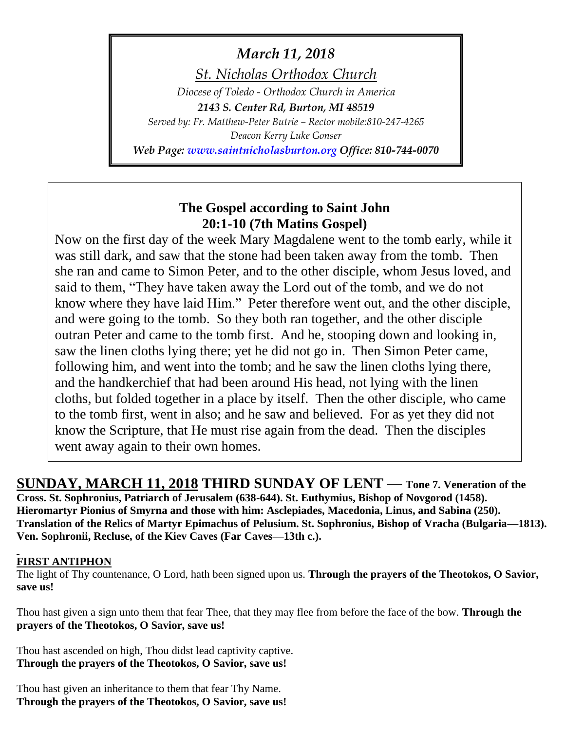# *March 11, 2018*

*St. Nicholas Orthodox Church*

*Diocese of Toledo - Orthodox Church in America 2143 S. Center Rd, Burton, MI 48519*

*Served by: Fr. Matthew-Peter Butrie – Rector mobile:810-247-4265 Deacon Kerry Luke Gonser*

*Web Page: [www.saintnicholasburton.org](http://www.saintnicholasburton.org/) Office: 810-744-0070*

# **The Gospel according to Saint John 20:1-10 (7th Matins Gospel)**

Now on the first day of the week Mary Magdalene went to the tomb early, while it was still dark, and saw that the stone had been taken away from the tomb. Then she ran and came to Simon Peter, and to the other disciple, whom Jesus loved, and said to them, "They have taken away the Lord out of the tomb, and we do not know where they have laid Him." Peter therefore went out, and the other disciple, and were going to the tomb. So they both ran together, and the other disciple outran Peter and came to the tomb first. And he, stooping down and looking in, saw the linen cloths lying there; yet he did not go in. Then Simon Peter came, following him, and went into the tomb; and he saw the linen cloths lying there, and the handkerchief that had been around His head, not lying with the linen cloths, but folded together in a place by itself. Then the other disciple, who came to the tomb first, went in also; and he saw and believed. For as yet they did not know the Scripture, that He must rise again from the dead. Then the disciples went away again to their own homes.

**SUNDAY, MARCH 11, 2018 THIRD SUNDAY OF LENT — Tone 7. Veneration of the Cross. St. Sophronius, Patriarch of Jerusalem (638-644). St. Euthymius, Bishop of Novgorod (1458). Hieromartyr Pionius of Smyrna and those with him: Asclepiades, Macedonia, Linus, and Sabina (250). Translation of the Relics of Martyr Epimachus of Pelusium. St. Sophronius, Bishop of Vracha (Bulgaria—1813). Ven. Sophronii, Recluse, of the Kiev Caves (Far Caves—13th c.).** 

## **FIRST ANTIPHON**

The light of Thy countenance, O Lord, hath been signed upon us. **Through the prayers of the Theotokos, O Savior, save us!**

Thou hast given a sign unto them that fear Thee, that they may flee from before the face of the bow. **Through the prayers of the Theotokos, O Savior, save us!**

Thou hast ascended on high, Thou didst lead captivity captive. **Through the prayers of the Theotokos, O Savior, save us!**

Thou hast given an inheritance to them that fear Thy Name. **Through the prayers of the Theotokos, O Savior, save us!**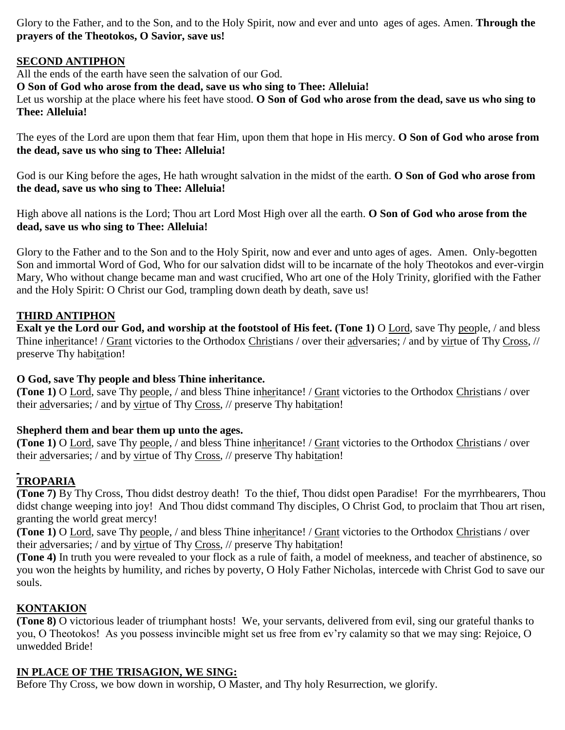Glory to the Father, and to the Son, and to the Holy Spirit, now and ever and unto ages of ages. Amen. **Through the prayers of the Theotokos, O Savior, save us!**

### **SECOND ANTIPHON**

All the ends of the earth have seen the salvation of our God.

**O Son of God who arose from the dead, save us who sing to Thee: Alleluia!**

Let us worship at the place where his feet have stood. **O Son of God who arose from the dead, save us who sing to Thee: Alleluia!**

The eyes of the Lord are upon them that fear Him, upon them that hope in His mercy. **O Son of God who arose from the dead, save us who sing to Thee: Alleluia!**

God is our King before the ages, He hath wrought salvation in the midst of the earth. **O Son of God who arose from the dead, save us who sing to Thee: Alleluia!**

High above all nations is the Lord; Thou art Lord Most High over all the earth. **O Son of God who arose from the dead, save us who sing to Thee: Alleluia!**

Glory to the Father and to the Son and to the Holy Spirit, now and ever and unto ages of ages. Amen. Only-begotten Son and immortal Word of God, Who for our salvation didst will to be incarnate of the holy Theotokos and ever-virgin Mary, Who without change became man and wast crucified, Who art one of the Holy Trinity, glorified with the Father and the Holy Spirit: O Christ our God, trampling down death by death, save us!

#### **THIRD ANTIPHON**

**Exalt ye the Lord our God, and worship at the footstool of His feet. (Tone 1)** O Lord, save Thy people, / and bless Thine inheritance! / Grant victories to the Orthodox Christians / over their adversaries; / and by virtue of Thy Cross, // preserve Thy habitation!

#### **O God, save Thy people and bless Thine inheritance.**

**(Tone 1)** O Lord, save Thy people, / and bless Thine inheritance! / Grant victories to the Orthodox Christians / over their adversaries; / and by virtue of Thy Cross, // preserve Thy habitation!

#### **Shepherd them and bear them up unto the ages.**

**(Tone 1)** O Lord, save Thy people, / and bless Thine inheritance! / Grant victories to the Orthodox Christians / over their adversaries; / and by virtue of Thy Cross, // preserve Thy habitation!

## **TROPARIA**

**(Tone 7)** By Thy Cross, Thou didst destroy death! To the thief, Thou didst open Paradise! For the myrrhbearers, Thou didst change weeping into joy! And Thou didst command Thy disciples, O Christ God, to proclaim that Thou art risen, granting the world great mercy!

**(Tone 1)** O Lord, save Thy people, / and bless Thine inheritance! / Grant victories to the Orthodox Christians / over their adversaries; / and by virtue of Thy Cross, // preserve Thy habitation!

**(Tone 4)** In truth you were revealed to your flock as a rule of faith, a model of meekness, and teacher of abstinence, so you won the heights by humility, and riches by poverty, O Holy Father Nicholas, intercede with Christ God to save our souls.

#### **KONTAKION**

**(Tone 8)** O victorious leader of triumphant hosts! We, your servants, delivered from evil, sing our grateful thanks to you, O Theotokos! As you possess invincible might set us free from ev'ry calamity so that we may sing: Rejoice, O unwedded Bride!

## **IN PLACE OF THE TRISAGION, WE SING:**

Before Thy Cross, we bow down in worship, O Master, and Thy holy Resurrection, we glorify.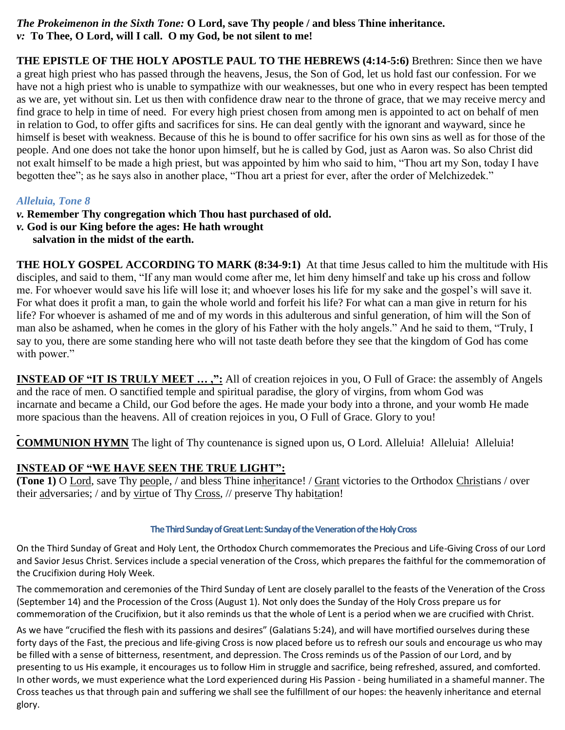### *The Prokeimenon in the Sixth Tone:* **O Lord, save Thy people / and bless Thine inheritance.** *v:* **To Thee, O Lord, will I call. O my God, be not silent to me!**

**THE EPISTLE OF THE HOLY APOSTLE PAUL TO THE HEBREWS (4:14-5:6)** Brethren: Since then we have a great high priest who has passed through the heavens, Jesus, the Son of God, let us hold fast our confession. For we have not a high priest who is unable to sympathize with our weaknesses, but one who in every respect has been tempted as we are, yet without sin. Let us then with confidence draw near to the throne of grace, that we may receive mercy and find grace to help in time of need. For every high priest chosen from among men is appointed to act on behalf of men in relation to God, to offer gifts and sacrifices for sins. He can deal gently with the ignorant and wayward, since he himself is beset with weakness. Because of this he is bound to offer sacrifice for his own sins as well as for those of the people. And one does not take the honor upon himself, but he is called by God, just as Aaron was. So also Christ did not exalt himself to be made a high priest, but was appointed by him who said to him, "Thou art my Son, today I have begotten thee"; as he says also in another place, "Thou art a priest for ever, after the order of Melchizedek."

## *Alleluia, Tone 8*

- *v.* **Remember Thy congregation which Thou hast purchased of old.**
- *v.* **God is our King before the ages: He hath wrought** 
	- **salvation in the midst of the earth.**

**THE HOLY GOSPEL ACCORDING TO MARK (8:34-9:1)** At that time Jesus called to him the multitude with His disciples, and said to them, "If any man would come after me, let him deny himself and take up his cross and follow me. For whoever would save his life will lose it; and whoever loses his life for my sake and the gospel's will save it. For what does it profit a man, to gain the whole world and forfeit his life? For what can a man give in return for his life? For whoever is ashamed of me and of my words in this adulterous and sinful generation, of him will the Son of man also be ashamed, when he comes in the glory of his Father with the holy angels." And he said to them, "Truly, I say to you, there are some standing here who will not taste death before they see that the kingdom of God has come with power."

**INSTEAD OF "IT IS TRULY MEET ...,":** All of creation rejoices in you, O Full of Grace: the assembly of Angels and the race of men. O sanctified temple and spiritual paradise, the glory of virgins, from whom God was incarnate and became a Child, our God before the ages. He made your body into a throne, and your womb He made more spacious than the heavens. All of creation rejoices in you, O Full of Grace. Glory to you!

**COMMUNION HYMN** The light of Thy countenance is signed upon us, O Lord. Alleluia! Alleluia! Alleluia!

#### **INSTEAD OF "WE HAVE SEEN THE TRUE LIGHT":**

**(Tone 1)** O Lord, save Thy people, / and bless Thine inheritance! / Grant victories to the Orthodox Christians / over their adversaries; / and by virtue of Thy Cross, // preserve Thy habitation!

#### **The Third Sunday of Great Lent: Sunday of the Veneration of the Holy Cross**

On the Third Sunday of Great and Holy Lent, the Orthodox Church commemorates the Precious and Life-Giving Cross of our Lord and Savior Jesus Christ. Services include a special veneration of the Cross, which prepares the faithful for the commemoration of the Crucifixion during Holy Week.

The commemoration and ceremonies of the Third Sunday of Lent are closely parallel to the feasts of the Veneration of the Cross (September 14) and the Procession of the Cross (August 1). Not only does the Sunday of the Holy Cross prepare us for commemoration of the Crucifixion, but it also reminds us that the whole of Lent is a period when we are crucified with Christ.

As we have "crucified the flesh with its passions and desires" (Galatians 5:24), and will have mortified ourselves during these forty days of the Fast, the precious and life-giving Cross is now placed before us to refresh our souls and encourage us who may be filled with a sense of bitterness, resentment, and depression. The Cross reminds us of the Passion of our Lord, and by presenting to us His example, it encourages us to follow Him in struggle and sacrifice, being refreshed, assured, and comforted. In other words, we must experience what the Lord experienced during His Passion - being humiliated in a shameful manner. The Cross teaches us that through pain and suffering we shall see the fulfillment of our hopes: the heavenly inheritance and eternal glory.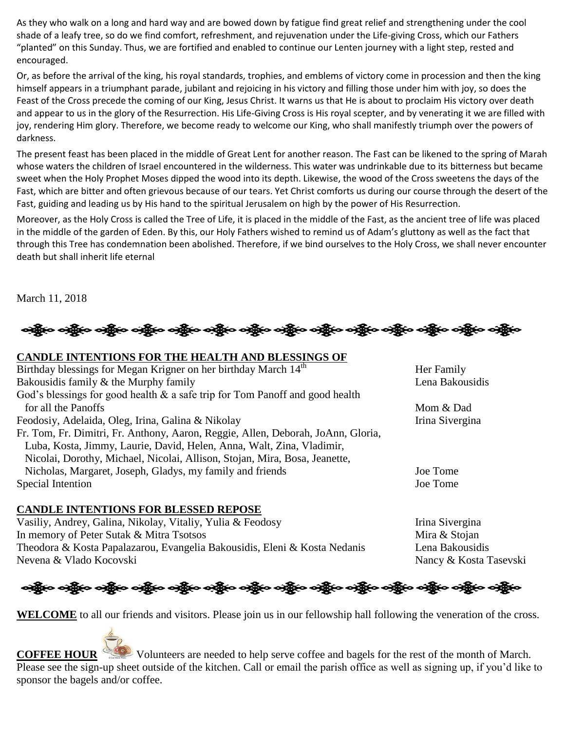As they who walk on a long and hard way and are bowed down by fatigue find great relief and strengthening under the cool shade of a leafy tree, so do we find comfort, refreshment, and rejuvenation under the Life-giving Cross, which our Fathers "planted" on this Sunday. Thus, we are fortified and enabled to continue our Lenten journey with a light step, rested and encouraged.

Or, as before the arrival of the king, his royal standards, trophies, and emblems of victory come in procession and then the king himself appears in a triumphant parade, jubilant and rejoicing in his victory and filling those under him with joy, so does the Feast of the Cross precede the coming of our King, Jesus Christ. It warns us that He is about to proclaim His victory over death and appear to us in the glory of the Resurrection. His Life-Giving Cross is His royal scepter, and by venerating it we are filled with joy, rendering Him glory. Therefore, we become ready to welcome our King, who shall manifestly triumph over the powers of darkness.

The present feast has been placed in the middle of Great Lent for another reason. The Fast can be likened to the spring of Marah whose waters the children of Israel encountered in the wilderness. This water was undrinkable due to its bitterness but became sweet when the Holy Prophet Moses dipped the wood into its depth. Likewise, the wood of the Cross sweetens the days of the Fast, which are bitter and often grievous because of our tears. Yet Christ comforts us during our course through the desert of the Fast, guiding and leading us by His hand to the spiritual Jerusalem on high by the power of His Resurrection.

Moreover, as the Holy Cross is called the Tree of Life, it is placed in the middle of the Fast, as the ancient tree of life was placed in the middle of the garden of Eden. By this, our Holy Fathers wished to remind us of Adam's gluttony as well as the fact that through this Tree has condemnation been abolished. Therefore, if we bind ourselves to the Holy Cross, we shall never encounter death but shall inherit life eternal

March 11, 2018



#### **CANDLE INTENTIONS FOR THE HEALTH AND BLESSINGS OF**

| Birthday blessings for Megan Krigner on her birthday March 14 <sup>th</sup>      | Her Family      |
|----------------------------------------------------------------------------------|-----------------|
| Bakousidis family & the Murphy family                                            | Lena Bakousidis |
| God's blessings for good health $\&$ a safe trip for Tom Panoff and good health  |                 |
| for all the Panoffs                                                              | Mom & Dad       |
| Feodosiy, Adelaida, Oleg, Irina, Galina & Nikolay                                | Irina Sivergina |
| Fr. Tom, Fr. Dimitri, Fr. Anthony, Aaron, Reggie, Allen, Deborah, JoAnn, Gloria, |                 |
| Luba, Kosta, Jimmy, Laurie, David, Helen, Anna, Walt, Zina, Vladimir,            |                 |
| Nicolai, Dorothy, Michael, Nicolai, Allison, Stojan, Mira, Bosa, Jeanette,       |                 |
| Nicholas, Margaret, Joseph, Gladys, my family and friends                        | Joe Tome        |
| Special Intention                                                                | Joe Tome        |

#### **CANDLE INTENTIONS FOR BLESSED REPOSE**

Vasiliy, Andrey, Galina, Nikolay, Vitaliy, Yulia & Feodosy Irina Sivergina In memory of Peter Sutak & Mitra Tsotsos Mira & Stojan Theodora & Kosta Papalazarou, Evangelia Bakousidis, Eleni & Kosta Nedanis Lena Bakousidis Nevena & Vlado Kocovski Nancy & Kosta Tasevski



**WELCOME** to all our friends and visitors. Please join us in our fellowship hall following the veneration of the cross.

**COFFEE HOUR** Volunteers are needed to help serve coffee and bagels for the rest of the month of March. Please see the sign-up sheet outside of the kitchen. Call or email the parish office as well as signing up, if you'd like to sponsor the bagels and/or coffee.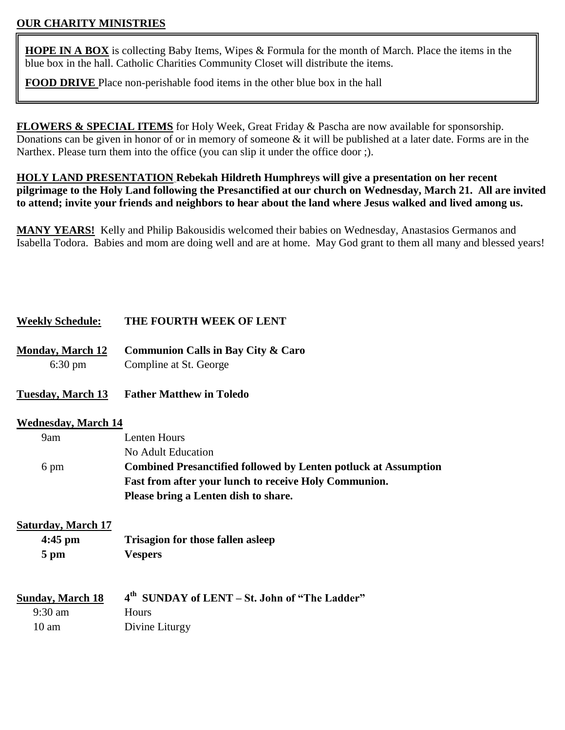## **OUR CHARITY MINISTRIES**

**HOPE IN A BOX** is collecting Baby Items, Wipes & Formula for the month of March. Place the items in the blue box in the hall. Catholic Charities Community Closet will distribute the items.

**FOOD DRIVE** Place non-perishable food items in the other blue box in the hall

**FLOWERS & SPECIAL ITEMS** for Holy Week, Great Friday & Pascha are now available for sponsorship. Donations can be given in honor of or in memory of someone  $\&$  it will be published at a later date. Forms are in the Narthex. Please turn them into the office (you can slip it under the office door ;).

**HOLY LAND PRESENTATION Rebekah Hildreth Humphreys will give a presentation on her recent pilgrimage to the Holy Land following the Presanctified at our church on Wednesday, March 21. All are invited to attend; invite your friends and neighbors to hear about the land where Jesus walked and lived among us.**

**MANY YEARS!** Kelly and Philip Bakousidis welcomed their babies on Wednesday, Anastasios Germanos and Isabella Todora. Babies and mom are doing well and are at home. May God grant to them all many and blessed years!

#### **Weekly Schedule: THE FOURTH WEEK OF LENT**

- **Monday, March 12 Communion Calls in Bay City & Caro** 6:30 pm Compline at St. George
- **Tuesday, March 13 Father Matthew in Toledo**

#### **Wednesday, March 14**

| 9am  | Lenten Hours                                                           |
|------|------------------------------------------------------------------------|
|      | No Adult Education                                                     |
| 6 pm | <b>Combined Presanctified followed by Lenten potluck at Assumption</b> |
|      | <b>Fast from after your lunch to receive Holy Communion.</b>           |
|      | Please bring a Lenten dish to share.                                   |

#### **Saturday, March 17**

**4:45 pm Trisagion for those fallen asleep 5 pm Vespers**

| <b>Sunday, March 18</b> | 4 <sup>th</sup> SUNDAY of LENT – St. John of "The Ladder" |
|-------------------------|-----------------------------------------------------------|
| $9:30 \text{ am}$       | <b>Hours</b>                                              |
| $10 \text{ am}$         | Divine Liturgy                                            |